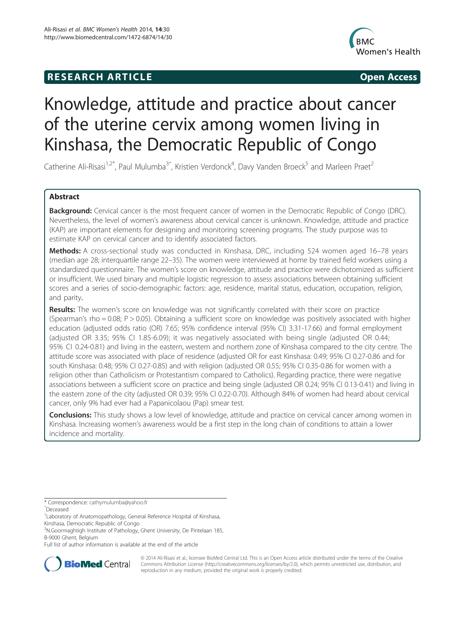# **RESEARCH ARTICLE Example 2014 CONSIDERING CONSIDERING CONSIDERING CONSIDERING CONSIDERING CONSIDERING CONSIDERING CONSIDERING CONSIDERING CONSIDERING CONSIDERING CONSIDERING CONSIDERING CONSIDERING CONSIDERING CONSIDE**



# Knowledge, attitude and practice about cancer of the uterine cervix among women living in Kinshasa, the Democratic Republic of Congo

Catherine Ali-Risasi<sup>1,2\*</sup>, Paul Mulumba<sup>3^</sup>, Kristien Verdonck<sup>4</sup>, Davy Vanden Broeck<sup>5</sup> and Marleen Praet<sup>2</sup>

# Abstract

Background: Cervical cancer is the most frequent cancer of women in the Democratic Republic of Congo (DRC). Nevertheless, the level of women's awareness about cervical cancer is unknown. Knowledge, attitude and practice (KAP) are important elements for designing and monitoring screening programs. The study purpose was to estimate KAP on cervical cancer and to identify associated factors.

Methods: A cross-sectional study was conducted in Kinshasa, DRC, including 524 women aged 16–78 years (median age 28; interquartile range 22–35). The women were interviewed at home by trained field workers using a standardized questionnaire. The women's score on knowledge, attitude and practice were dichotomized as sufficient or insufficient. We used binary and multiple logistic regression to assess associations between obtaining sufficient scores and a series of socio-demographic factors: age, residence, marital status, education, occupation, religion, and parity.

Results: The women's score on knowledge was not significantly correlated with their score on practice (Spearman's rho = 0.08; P > 0.05). Obtaining a sufficient score on knowledge was positively associated with higher education (adjusted odds ratio (OR) 7.65; 95% confidence interval (95% CI) 3.31-17.66) and formal employment (adjusted OR 3.35; 95% CI 1.85-6.09); it was negatively associated with being single (adjusted OR 0.44; 95% CI 0.24-0.81) and living in the eastern, western and northern zone of Kinshasa compared to the city centre. The attitude score was associated with place of residence (adjusted OR for east Kinshasa: 0.49; 95% CI 0.27-0.86 and for south Kinshasa: 0.48; 95% CI 0.27-0.85) and with religion (adjusted OR 0.55; 95% CI 0.35-0.86 for women with a religion other than Catholicism or Protestantism compared to Catholics). Regarding practice, there were negative associations between a sufficient score on practice and being single (adjusted OR 0.24; 95% CI 0.13-0.41) and living in the eastern zone of the city (adjusted OR 0.39; 95% CI 0.22-0.70). Although 84% of women had heard about cervical cancer, only 9% had ever had a Papanicolaou (Pap) smear test.

**Conclusions:** This study shows a low level of knowledge, attitude and practice on cervical cancer among women in Kinshasa. Increasing women's awareness would be a first step in the long chain of conditions to attain a lower incidence and mortality.

\* Correspondence: [cathymulumba@yahoo.fr](mailto:cathymulumba@yahoo.fr) <sup>ˆ</sup>Deceased

<sup>2</sup>N.Goormaghtigh Institute of Pathology, Ghent University, De Pintelaan 185, B-9000 Ghent, Belgium

Full list of author information is available at the end of the article



© 2014 Ali-Risasi et al.; licensee BioMed Central Ltd. This is an Open Access article distributed under the terms of the Creative Commons Attribution License [\(http://creativecommons.org/licenses/by/2.0\)](http://creativecommons.org/licenses/by/2.0), which permits unrestricted use, distribution, and reproduction in any medium, provided the original work is properly credited.

<sup>&</sup>lt;sup>1</sup> Laboratory of Anatomopathology, General Reference Hospital of Kinshasa, Kinshasa, Democratic Republic of Congo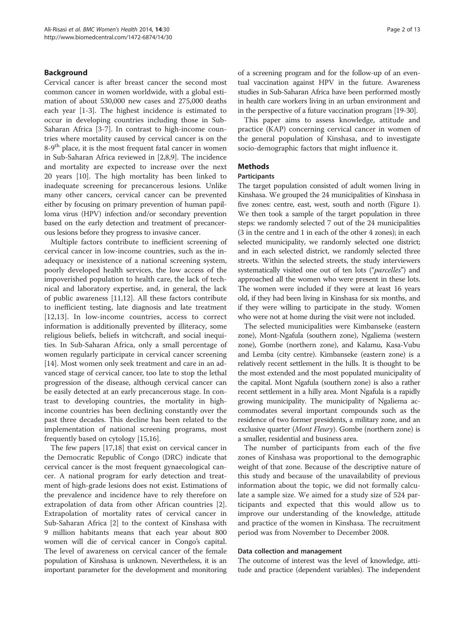# Background

Cervical cancer is after breast cancer the second most common cancer in women worldwide, with a global estimation of about 530,000 new cases and 275,000 deaths each year [[1](#page-10-0)[-3](#page-11-0)]. The highest incidence is estimated to occur in developing countries including those in Sub-Saharan Africa [[3-7\]](#page-11-0). In contrast to high-income countries where mortality caused by cervical cancer is on the 8-9<sup>th</sup> place, it is the most frequent fatal cancer in women in Sub-Saharan Africa reviewed in [[2,8,9\]](#page-11-0). The incidence and mortality are expected to increase over the next 20 years [[10\]](#page-11-0). The high mortality has been linked to inadequate screening for precancerous lesions. Unlike many other cancers, cervical cancer can be prevented either by focusing on primary prevention of human papilloma virus (HPV) infection and/or secondary prevention based on the early detection and treatment of precancerous lesions before they progress to invasive cancer.

Multiple factors contribute to inefficient screening of cervical cancer in low-income countries, such as the inadequacy or inexistence of a national screening system, poorly developed health services, the low access of the impoverished population to health care, the lack of technical and laboratory expertise, and, in general, the lack of public awareness [\[11,12](#page-11-0)]. All these factors contribute to inefficient testing, late diagnosis and late treatment [[12,13\]](#page-11-0). In low-income countries, access to correct information is additionally prevented by illiteracy, some religious beliefs, beliefs in witchcraft, and social inequities. In Sub-Saharan Africa, only a small percentage of women regularly participate in cervical cancer screening [[14\]](#page-11-0). Most women only seek treatment and care in an advanced stage of cervical cancer, too late to stop the lethal progression of the disease, although cervical cancer can be easily detected at an early precancerous stage. In contrast to developing countries, the mortality in highincome countries has been declining constantly over the past three decades. This decline has been related to the implementation of national screening programs, most frequently based on cytology [\[15,16\]](#page-11-0).

The few papers [[17,18](#page-11-0)] that exist on cervical cancer in the Democratic Republic of Congo (DRC) indicate that cervical cancer is the most frequent gynaecological cancer. A national program for early detection and treatment of high-grade lesions does not exist. Estimations of the prevalence and incidence have to rely therefore on extrapolation of data from other African countries [\[2](#page-11-0)]. Extrapolation of mortality rates of cervical cancer in Sub-Saharan Africa [\[2](#page-11-0)] to the context of Kinshasa with 9 million habitants means that each year about 800 women will die of cervical cancer in Congo's capital. The level of awareness on cervical cancer of the female population of Kinshasa is unknown. Nevertheless, it is an important parameter for the development and monitoring

of a screening program and for the follow-up of an eventual vaccination against HPV in the future. Awareness studies in Sub-Saharan Africa have been performed mostly in health care workers living in an urban environment and in the perspective of a future vaccination program [[19](#page-11-0)-[30](#page-11-0)].

This paper aims to assess knowledge, attitude and practice (KAP) concerning cervical cancer in women of the general population of Kinshasa, and to investigate socio-demographic factors that might influence it.

# **Methods**

#### Participants

The target population consisted of adult women living in Kinshasa. We grouped the 24 municipalities of Kinshasa in five zones: centre, east, west, south and north (Figure [1](#page-2-0)). We then took a sample of the target population in three steps: we randomly selected 7 out of the 24 municipalities (3 in the centre and 1 in each of the other 4 zones); in each selected municipality, we randomly selected one district; and in each selected district, we randomly selected three streets. Within the selected streets, the study interviewers systematically visited one out of ten lots ("*parcelles*") and approached all the women who were present in these lots. The women were included if they were at least 16 years old, if they had been living in Kinshasa for six months, and if they were willing to participate in the study. Women who were not at home during the visit were not included.

The selected municipalities were Kimbanseke (eastern zone), Mont-Ngafula (southern zone), Ngaliema (western zone), Gombe (northern zone), and Kalamu, Kasa-Vubu and Lemba (city centre). Kimbanseke (eastern zone) is a relatively recent settlement in the hills. It is thought to be the most extended and the most populated municipality of the capital. Mont Ngafula (southern zone) is also a rather recent settlement in a hilly area. Mont Ngafula is a rapidly growing municipality. The municipality of Ngaliema accommodates several important compounds such as the residence of two former presidents, a military zone, and an exclusive quarter (Mont Fleury). Gombe (northern zone) is a smaller, residential and business area.

The number of participants from each of the five zones of Kinshasa was proportional to the demographic weight of that zone. Because of the descriptive nature of this study and because of the unavailability of previous information about the topic, we did not formally calculate a sample size. We aimed for a study size of 524 participants and expected that this would allow us to improve our understanding of the knowledge, attitude and practice of the women in Kinshasa. The recruitment period was from November to December 2008.

#### Data collection and management

The outcome of interest was the level of knowledge, attitude and practice (dependent variables). The independent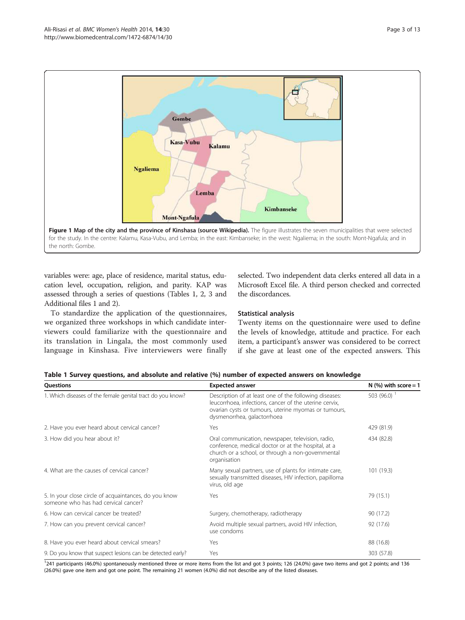<span id="page-2-0"></span>

the north: Gombe.

variables were: age, place of residence, marital status, education level, occupation, religion, and parity. KAP was assessed through a series of questions (Tables 1, [2, 3](#page-3-0) and Additional files [1](#page-10-0) and [2](#page-10-0)).

To standardize the application of the questionnaires, we organized three workshops in which candidate interviewers could familiarize with the questionnaire and its translation in Lingala, the most commonly used language in Kinshasa. Five interviewers were finally selected. Two independent data clerks entered all data in a Microsoft Excel file. A third person checked and corrected the discordances.

# Statistical analysis

Twenty items on the questionnaire were used to define the levels of knowledge, attitude and practice. For each item, a participant's answer was considered to be correct if she gave at least one of the expected answers. This

| Table 1 Survey questions, and absolute and relative (%) number of expected answers on knowledge |  |
|-------------------------------------------------------------------------------------------------|--|
|-------------------------------------------------------------------------------------------------|--|

| Questions                                                                                     | <b>Expected answer</b>                                                                                                                                                                                  | N $(\%)$ with score = 1 |
|-----------------------------------------------------------------------------------------------|---------------------------------------------------------------------------------------------------------------------------------------------------------------------------------------------------------|-------------------------|
| 1. Which diseases of the female genital tract do you know?                                    | Description of at least one of the following diseases:<br>leucorrhoea, infections, cancer of the uterine cervix,<br>ovarian cysts or tumours, uterine myomas or tumours,<br>dysmenorrhea, galactorrhoea | 503 (96.0) $^{-1}$      |
| 2. Have you ever heard about cervical cancer?                                                 | Yes                                                                                                                                                                                                     | 429 (81.9)              |
| 3. How did you hear about it?                                                                 | Oral communication, newspaper, television, radio,<br>conference, medical doctor or at the hospital, at a<br>church or a school, or through a non-governmental<br>organisation                           | 434 (82.8)              |
| 4. What are the causes of cervical cancer?                                                    | Many sexual partners, use of plants for intimate care,<br>sexually transmitted diseases, HIV infection, papilloma<br>virus, old age                                                                     | 101 (19.3)              |
| 5. In your close circle of acquaintances, do you know<br>someone who has had cervical cancer? | Yes                                                                                                                                                                                                     | 79 (15.1)               |
| 6. How can cervical cancer be treated?                                                        | Surgery, chemotherapy, radiotherapy                                                                                                                                                                     | 90 (17.2)               |
| 7. How can you prevent cervical cancer?                                                       | Avoid multiple sexual partners, avoid HIV infection,<br>use condoms                                                                                                                                     | 92 (17.6)               |
| 8. Have you ever heard about cervical smears?                                                 | Yes                                                                                                                                                                                                     | 88 (16.8)               |
| 9. Do you know that suspect lesions can be detected early?                                    | Yes                                                                                                                                                                                                     | 303 (57.8)              |

<sup>1</sup>241 participants (46.0%) spontaneously mentioned three or more items from the list and got 3 points; 126 (24.0%) gave two items and got 2 points; and 136 (26.0%) gave one item and got one point. The remaining 21 women (4.0%) did not describe any of the listed diseases.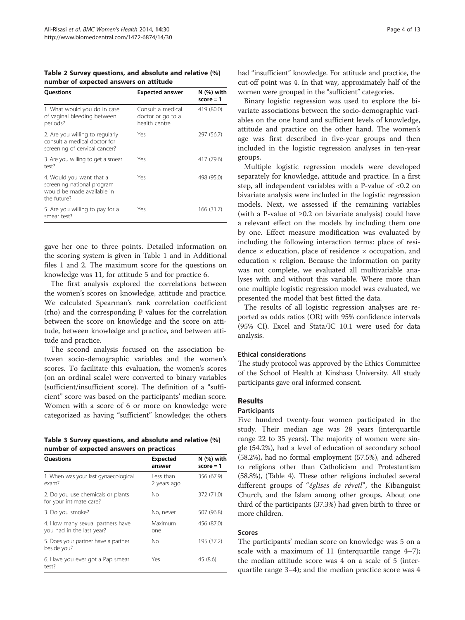<span id="page-3-0"></span>Table 2 Survey questions, and absolute and relative (%) number of expected answers on attitude

| <b>Ouestions</b>                                                                                    | <b>Expected answer</b>                                  | $N$ $(\%)$ with<br>$score = 1$ |
|-----------------------------------------------------------------------------------------------------|---------------------------------------------------------|--------------------------------|
| 1. What would you do in case<br>of vaginal bleeding between<br>periods?                             | Consult a medical<br>doctor or go to a<br>health centre | 419 (80.0)                     |
| 2. Are you willing to regularly<br>consult a medical doctor for<br>screening of cervical cancer?    | Yes                                                     | 297 (56.7)                     |
| 3. Are you willing to get a smear<br>test?                                                          | Yes                                                     | 417 (79.6)                     |
| 4. Would you want that a<br>screening national program<br>would be made available in<br>the future? | Yes                                                     | 498 (95.0)                     |
| 5. Are you willing to pay for a<br>smear test?                                                      | Yes                                                     | 166 (31.7)                     |

gave her one to three points. Detailed information on the scoring system is given in Table [1](#page-2-0) and in Additional files [1](#page-10-0) and [2.](#page-10-0) The maximum score for the questions on knowledge was 11, for attitude 5 and for practice 6.

The first analysis explored the correlations between the women's scores on knowledge, attitude and practice. We calculated Spearman's rank correlation coefficient (rho) and the corresponding P values for the correlation between the score on knowledge and the score on attitude, between knowledge and practice, and between attitude and practice.

The second analysis focused on the association between socio-demographic variables and the women's scores. To facilitate this evaluation, the women's scores (on an ordinal scale) were converted to binary variables (sufficient/insufficient score). The definition of a "sufficient" score was based on the participants' median score. Women with a score of 6 or more on knowledge were categorized as having "sufficient" knowledge; the others

Table 3 Survey questions, and absolute and relative (%) number of expected answers on practices

| <b>Ouestions</b>                                              | <b>Expected</b><br>answer | $N$ (%) with<br>$score = 1$ |
|---------------------------------------------------------------|---------------------------|-----------------------------|
| 1. When was your last gynaecological<br>exam?                 | Less than<br>2 years ago  | 356 (67.9)                  |
| 2. Do you use chemicals or plants<br>for your intimate care?  | No                        | 372 (71.0)                  |
| 3. Do you smoke?                                              | No, never                 | 507 (96.8)                  |
| 4. How many sexual partners have<br>you had in the last year? | Maximum<br>one            | 456 (87.0)                  |
| 5. Does your partner have a partner<br>beside you?            | No                        | 195 (37.2)                  |
| 6. Have you ever got a Pap smear<br>test?                     | Yes                       | 45 (8.6)                    |

had "insufficient" knowledge. For attitude and practice, the cut-off point was 4. In that way, approximately half of the women were grouped in the "sufficient" categories.

Binary logistic regression was used to explore the bivariate associations between the socio-demographic variables on the one hand and sufficient levels of knowledge, attitude and practice on the other hand. The women's age was first described in five-year groups and then included in the logistic regression analyses in ten-year groups.

Multiple logistic regression models were developed separately for knowledge, attitude and practice. In a first step, all independent variables with a P-value of <0.2 on bivariate analysis were included in the logistic regression models. Next, we assessed if the remaining variables (with a P-value of  $\geq 0.2$  on bivariate analysis) could have a relevant effect on the models by including them one by one. Effect measure modification was evaluated by including the following interaction terms: place of residence × education, place of residence × occupation, and education  $\times$  religion. Because the information on parity was not complete, we evaluated all multivariable analyses with and without this variable. Where more than one multiple logistic regression model was evaluated, we presented the model that best fitted the data.

The results of all logistic regression analyses are reported as odds ratios (OR) with 95% confidence intervals (95% CI). Excel and Stata/IC 10.1 were used for data analysis.

# Ethical considerations

The study protocol was approved by the Ethics Committee of the School of Health at Kinshasa University. All study participants gave oral informed consent.

# Results

#### **Participants**

Five hundred twenty-four women participated in the study. Their median age was 28 years (interquartile range 22 to 35 years). The majority of women were single (54.2%), had a level of education of secondary school (58.2%), had no formal employment (57.5%), and adhered to religions other than Catholicism and Protestantism (58.8%), (Table [4](#page-4-0)). These other religions included several different groups of "églises de réveil", the Kibanguist Church, and the Islam among other groups. About one third of the participants (37.3%) had given birth to three or more children.

# Scores

The participants' median score on knowledge was 5 on a scale with a maximum of 11 (interquartile range 4–7); the median attitude score was 4 on a scale of 5 (interquartile range 3–4); and the median practice score was 4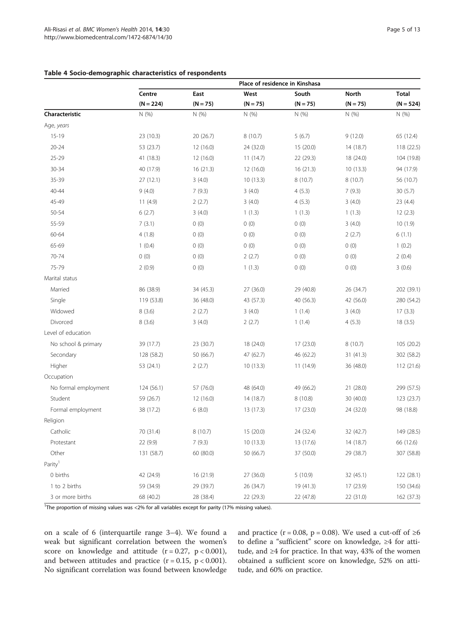<span id="page-4-0"></span>

|                      | Place of residence in Kinshasa |            |            |            |              |              |
|----------------------|--------------------------------|------------|------------|------------|--------------|--------------|
|                      | Centre                         | East       | West       | South      | <b>North</b> | <b>Total</b> |
|                      | $(N = 224)$                    | $(N = 75)$ | $(N = 75)$ | $(N = 75)$ | $(N = 75)$   | $(N = 524)$  |
| Characteristic       | N(%)                           | N(%)       | N(%        | N(%        | N(%          | N(%)         |
| Age, years           |                                |            |            |            |              |              |
| $15-19$              | 23 (10.3)                      | 20 (26.7)  | 8 (10.7)   | 5(6.7)     | 9(12.0)      | 65 (12.4)    |
| $20 - 24$            | 53 (23.7)                      | 12 (16.0)  | 24 (32.0)  | 15 (20.0)  | 14 (18.7)    | 118 (22.5)   |
| $25 - 29$            | 41 (18.3)                      | 12 (16.0)  | 11(14.7)   | 22 (29.3)  | 18 (24.0)    | 104 (19.8)   |
| $30 - 34$            | 40 (17.9)                      | 16(21.3)   | 12(16.0)   | 16(21.3)   | 10(13.3)     | 94 (17.9)    |
| 35-39                | 27(12.1)                       | 3(4.0)     | 10(13.3)   | 8(10.7)    | 8(10.7)      | 56 (10.7)    |
| 40-44                | 9(4.0)                         | 7(9.3)     | 3(4.0)     | 4(5.3)     | 7(9.3)       | 30(5.7)      |
| 45-49                | 11(4.9)                        | 2(2.7)     | 3(4.0)     | 4(5.3)     | 3(4.0)       | 23 (4.4)     |
| 50-54                | 6(2.7)                         | 3(4.0)     | 1(1.3)     | 1(1.3)     | 1(1.3)       | 12(2.3)      |
| 55-59                | 7(3.1)                         | 0(0)       | 0(0)       | 0(0)       | 3(4.0)       | 10(1.9)      |
| 60-64                | 4(1.8)                         | 0(0)       | 0(0)       | 0(0)       | 2(2.7)       | 6(1.1)       |
| 65-69                | 1(0.4)                         | 0(0)       | 0(0)       | 0(0)       | 0(0)         | 1(0.2)       |
| 70-74                | 0(0)                           | 0(0)       | 2(2.7)     | 0(0)       | 0(0)         | 2(0.4)       |
| 75-79                | 2(0.9)                         | 0(0)       | 1(1.3)     | 0(0)       | 0(0)         | 3(0.6)       |
| Marital status       |                                |            |            |            |              |              |
| Married              | 86 (38.9)                      | 34 (45.3)  | 27 (36.0)  | 29 (40.8)  | 26 (34.7)    | 202 (39.1)   |
| Single               | 119 (53.8)                     | 36 (48.0)  | 43 (57.3)  | 40 (56.3)  | 42 (56.0)    | 280 (54.2)   |
| Widowed              | 8(3.6)                         | 2(2.7)     | 3(4.0)     | 1(1.4)     | 3(4.0)       | 17(3.3)      |
| Divorced             | 8(3.6)                         | 3(4.0)     | 2(2.7)     | 1(1.4)     | 4(5.3)       | 18(3.5)      |
| Level of education   |                                |            |            |            |              |              |
| No school & primary  | 39 (17.7)                      | 23 (30.7)  | 18 (24.0)  | 17(23.0)   | 8(10.7)      | 105 (20.2)   |
| Secondary            | 128 (58.2)                     | 50 (66.7)  | 47 (62.7)  | 46 (62.2)  | 31 (41.3)    | 302 (58.2)   |
| Higher               | 53 (24.1)                      | 2(2.7)     | 10(13.3)   | 11(14.9)   | 36 (48.0)    | 112(21.6)    |
| Occupation           |                                |            |            |            |              |              |
| No formal employment | 124 (56.1)                     | 57 (76.0)  | 48 (64.0)  | 49 (66.2)  | 21 (28.0)    | 299 (57.5)   |
| Student              | 59 (26.7)                      | 12 (16.0)  | 14 (18.7)  | 8 (10.8)   | 30 (40.0)    | 123 (23.7)   |
| Formal employment    | 38 (17.2)                      | 6(8.0)     | 13 (17.3)  | 17(23.0)   | 24 (32.0)    | 98 (18.8)    |
| Religion             |                                |            |            |            |              |              |
| Catholic             | 70 (31.4)                      | 8 (10.7)   | 15 (20.0)  | 24 (32.4)  | 32 (42.7)    | 149 (28.5)   |
| Protestant           | 22 (9.9)                       | 7(9.3)     | 10(13.3)   | 13 (17.6)  | 14(18.7)     | 66 (12.6)    |
| Other                | 131 (58.7)                     | 60 (80.0)  | 50 (66.7)  | 37 (50.0)  | 29 (38.7)    | 307 (58.8)   |
| Parity <sup>1</sup>  |                                |            |            |            |              |              |
| 0 births             | 42 (24.9)                      | 16 (21.9)  | 27 (36.0)  | 5(10.9)    | 32 (45.1)    | 122 (28.1)   |
| 1 to 2 births        | 59 (34.9)                      | 29 (39.7)  | 26 (34.7)  | 19 (41.3)  | 17 (23.9)    | 150 (34.6)   |
| 3 or more births     | 68 (40.2)                      | 28 (38.4)  | 22 (29.3)  | 22 (47.8)  | 22 (31.0)    | 162 (37.3)   |

<sup>1</sup>The proportion of missing values was <2% for all variables except for parity (17% missing values).

on a scale of 6 (interquartile range 3–4). We found a weak but significant correlation between the women's score on knowledge and attitude  $(r = 0.27, p < 0.001)$ , and between attitudes and practice  $(r = 0.15, p < 0.001)$ . No significant correlation was found between knowledge and practice ( $r = 0.08$ ,  $p = 0.08$ ). We used a cut-off of ≥6 to define a "sufficient" score on knowledge, ≥4 for attitude, and ≥4 for practice. In that way, 43% of the women obtained a sufficient score on knowledge, 52% on attitude, and 60% on practice.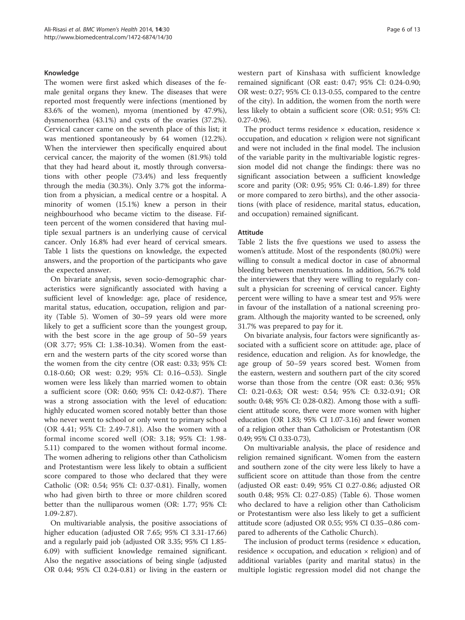#### Knowledge

The women were first asked which diseases of the female genital organs they knew. The diseases that were reported most frequently were infections (mentioned by 83.6% of the women), myoma (mentioned by 47.9%), dysmenorrhea (43.1%) and cysts of the ovaries (37.2%). Cervical cancer came on the seventh place of this list; it was mentioned spontaneously by 64 women (12.2%). When the interviewer then specifically enquired about cervical cancer, the majority of the women (81.9%) told that they had heard about it, mostly through conversations with other people (73.4%) and less frequently through the media (30.3%). Only 3.7% got the information from a physician, a medical centre or a hospital. A minority of women (15.1%) knew a person in their neighbourhood who became victim to the disease. Fifteen percent of the women considered that having multiple sexual partners is an underlying cause of cervical cancer. Only 16.8% had ever heard of cervical smears. Table [1](#page-2-0) lists the questions on knowledge, the expected answers, and the proportion of the participants who gave the expected answer.

On bivariate analysis, seven socio-demographic characteristics were significantly associated with having a sufficient level of knowledge: age, place of residence, marital status, education, occupation, religion and parity (Table [5\)](#page-6-0). Women of 30–59 years old were more likely to get a sufficient score than the youngest group, with the best score in the age group of 50–59 years (OR 3.77; 95% CI: 1.38-10.34). Women from the eastern and the western parts of the city scored worse than the women from the city centre (OR east: 0.33; 95% CI: 0.18-0.60; OR west: 0.29; 95% CI: 0.16–0.53). Single women were less likely than married women to obtain a sufficient score (OR: 0.60; 95% CI: 0.42-0.87). There was a strong association with the level of education: highly educated women scored notably better than those who never went to school or only went to primary school (OR 4.41; 95% CI: 2.49-7.81). Also the women with a formal income scored well (OR: 3.18; 95% CI: 1.98- 5.11) compared to the women without formal income. The women adhering to religions other than Catholicism and Protestantism were less likely to obtain a sufficient score compared to those who declared that they were Catholic (OR: 0.54; 95% CI: 0.37-0.81). Finally, women who had given birth to three or more children scored better than the nulliparous women (OR: 1.77; 95% CI: 1.09-2.87).

On multivariable analysis, the positive associations of higher education (adjusted OR 7.65; 95% CI 3.31-17.66) and a regularly paid job (adjusted OR 3.35; 95% CI 1.85- 6.09) with sufficient knowledge remained significant. Also the negative associations of being single (adjusted OR 0.44; 95% CI 0.24-0.81) or living in the eastern or western part of Kinshasa with sufficient knowledge remained significant (OR east: 0.47; 95% CI: 0.24-0.90; OR west: 0.27; 95% CI: 0.13-0.55, compared to the centre of the city). In addition, the women from the north were less likely to obtain a sufficient score (OR: 0.51; 95% CI: 0.27-0.96).

The product terms residence  $\times$  education, residence  $\times$ occupation, and education  $\times$  religion were not significant and were not included in the final model. The inclusion of the variable parity in the multivariable logistic regression model did not change the findings: there was no significant association between a sufficient knowledge score and parity (OR: 0.95; 95% CI: 0.46-1.89) for three or more compared to zero births), and the other associations (with place of residence, marital status, education, and occupation) remained significant.

#### Attitude

Table [2](#page-3-0) lists the five questions we used to assess the women's attitude. Most of the respondents (80.0%) were willing to consult a medical doctor in case of abnormal bleeding between menstruations. In addition, 56.7% told the interviewers that they were willing to regularly consult a physician for screening of cervical cancer. Eighty percent were willing to have a smear test and 95% were in favour of the installation of a national screening program. Although the majority wanted to be screened, only 31.7% was prepared to pay for it.

On bivariate analysis, four factors were significantly associated with a sufficient score on attitude: age, place of residence, education and religion. As for knowledge, the age group of 50–59 years scored best. Women from the eastern, western and southern part of the city scored worse than those from the centre (OR east: 0.36; 95% CI: 0.21-0.63; OR west: 0.54; 95% CI: 0.32-0.91; OR south: 0.48; 95% CI: 0.28-0.82). Among those with a sufficient attitude score, there were more women with higher education (OR 1.83; 95% CI 1.07-3.16) and fewer women of a religion other than Catholicism or Protestantism (OR 0.49; 95% CI 0.33-0.73),

On multivariable analysis, the place of residence and religion remained significant. Women from the eastern and southern zone of the city were less likely to have a sufficient score on attitude than those from the centre (adjusted OR east: 0.49; 95% CI 0.27-0.86; adjusted OR south 0.48; 95% CI: 0.27-0.85) (Table [6](#page-7-0)). Those women who declared to have a religion other than Catholicism or Protestantism were also less likely to get a sufficient attitude score (adjusted OR 0.55; 95% CI 0.35–0.86 compared to adherents of the Catholic Church).

The inclusion of product terms (residence  $\times$  education, residence  $\times$  occupation, and education  $\times$  religion) and of additional variables (parity and marital status) in the multiple logistic regression model did not change the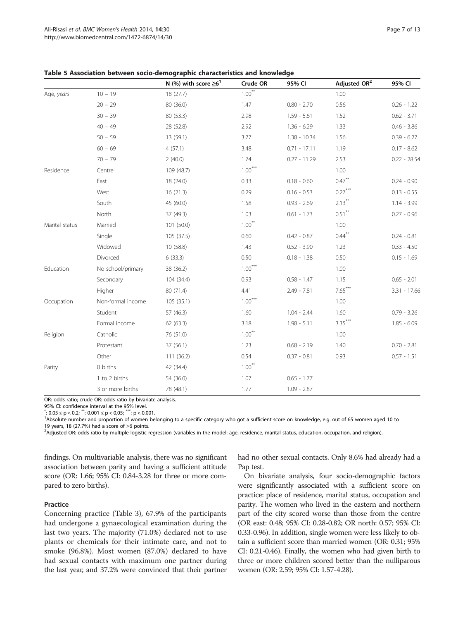|                |                   | N (%) with score $\geq 6^1$ | Crude OR             | 95% CI         | Adjusted OR <sup>2</sup> | 95% CI         |
|----------------|-------------------|-----------------------------|----------------------|----------------|--------------------------|----------------|
| Age, years     | $10 - 19$         | 18 (27.7)                   | $1.00^{***}$         |                | 1.00                     |                |
|                | $20 - 29$         | 80 (36.0)                   | 1.47                 | $0.80 - 2.70$  | 0.56                     | $0.26 - 1.22$  |
|                | $30 - 39$         | 80 (53.3)                   | 2.98                 | $1.59 - 5.61$  | 1.52                     | $0.62 - 3.71$  |
|                | $40 - 49$         | 28 (52.8)                   | 2.92                 | $1.36 - 6.29$  | 1.33                     | $0.46 - 3.86$  |
|                | $50 - 59$         | 13 (59.1)                   | 3.77                 | $1.38 - 10.34$ | 1.56                     | $0.39 - 6.27$  |
|                | $60 - 69$         | 4(57.1)                     | 3.48                 | $0.71 - 17.11$ | 1.19                     | $0.17 - 8.62$  |
|                | $70 - 79$         | 2(40.0)                     | 1.74                 | $0.27 - 11.29$ | 2.53                     | $0.22 - 28.54$ |
| Residence      | Centre            | 109 (48.7)                  | $1.00***$            |                | 1.00                     |                |
|                | East              | 18 (24.0)                   | 0.33                 | $0.18 - 0.60$  | $0.47***$                | $0.24 - 0.90$  |
|                | West              | 16(21.3)                    | 0.29                 | $0.16 - 0.53$  | $0.27***$                | $0.13 - 0.55$  |
|                | South             | 45 (60.0)                   | 1.58                 | $0.93 - 2.69$  | $2.13***$                | $1.14 - 3.99$  |
|                | North             | 37 (49.3)                   | 1.03                 | $0.61 - 1.73$  | $0.51$ **                | $0.27 - 0.96$  |
| Marital status | Married           | 101 (50.0)                  | $1.00$ <sup>**</sup> |                | 1.00                     |                |
|                | Single            | 105 (37.5)                  | 0.60                 | $0.42 - 0.87$  | $0.44***$                | $0.24 - 0.81$  |
|                | Widowed           | 10 (58.8)                   | 1.43                 | $0.52 - 3.90$  | 1.23                     | $0.33 - 4.50$  |
|                | Divorced          | 6(33.3)                     | 0.50                 | $0.18 - 1.38$  | 0.50                     | $0.15 - 1.69$  |
| Education      | No school/primary | 38 (36.2)                   | $1.00***$            |                | 1.00                     |                |
|                | Secondary         | 104 (34.4)                  | 0.93                 | $0.58 - 1.47$  | 1.15                     | $0.65 - 2.01$  |
|                | Higher            | 80 (71.4)                   | 4.41                 | $2.49 - 7.81$  | $7.65***$                | $3.31 - 17.66$ |
| Occupation     | Non-formal income | 105(35.1)                   | $1.00***$            |                | 1.00                     |                |
|                | Student           | 57 (46.3)                   | 1.60                 | $1.04 - 2.44$  | 1.60                     | $0.79 - 3.26$  |
|                | Formal income     | 62 (63.3)                   | 3.18                 | $1.98 - 5.11$  | $3.35***$                | $1.85 - 6.09$  |
| Religion       | Catholic          | 76 (51.0)                   | $1.00***$            |                | 1.00                     |                |
|                | Protestant        | 37 (56.1)                   | 1.23                 | $0.68 - 2.19$  | 1.40                     | $0.70 - 2.81$  |
|                | Other             | 111(36.2)                   | 0.54                 | $0.37 - 0.81$  | 0.93                     | $0.57 - 1.51$  |
| Parity         | 0 births          | 42 (34.4)                   | $1.00***$            |                |                          |                |
|                | 1 to 2 births     | 54 (36.0)                   | 1.07                 | $0.65 - 1.77$  |                          |                |
|                | 3 or more births  | 78 (48.1)                   | 1.77                 | $1.09 - 2.87$  |                          |                |

<span id="page-6-0"></span>Table 5 Association between socio-demographic characteristics and knowledge

OR: odds ratio; crude OR: odds ratio by bivariate analysis.

95% CI: confidence interval at the 95% level.<br>\*: 0.05  $\leq$  p < 0.2; \*\*: 0.001  $\leq$  p < 0,05; \*\*\*: p < 0.001.<br><sup>1</sup> Nacelute number and proportion of women be

<sup>1</sup>Absolute number and proportion of women belonging to a specific category who got a sufficient score on knowledge, e.g. out of 65 women aged 10 to

19 years, 18 (27.7%) had a score of ≥6 points.<br><sup>2</sup>Adjusted OR: odds ratio by multiple logistic regression (variables in the model: age, residence, marital status, education, occupation, and religion).

findings. On multivariable analysis, there was no significant association between parity and having a sufficient attitude score (OR: 1.66; 95% CI: 0.84-3.28 for three or more compared to zero births).

# Practice

Concerning practice (Table [3\)](#page-3-0), 67.9% of the participants had undergone a gynaecological examination during the last two years. The majority (71.0%) declared not to use plants or chemicals for their intimate care, and not to smoke (96.8%). Most women (87.0%) declared to have had sexual contacts with maximum one partner during the last year, and 37.2% were convinced that their partner had no other sexual contacts. Only 8.6% had already had a Pap test.

On bivariate analysis, four socio-demographic factors were significantly associated with a sufficient score on practice: place of residence, marital status, occupation and parity. The women who lived in the eastern and northern part of the city scored worse than those from the centre (OR east: 0.48; 95% CI: 0.28-0.82; OR north: 0.57; 95% CI: 0.33-0.96). In addition, single women were less likely to obtain a sufficient score than married women (OR: 0.31; 95% CI: 0.21-0.46). Finally, the women who had given birth to three or more children scored better than the nulliparous women (OR: 2.59; 95% CI: 1.57-4.28).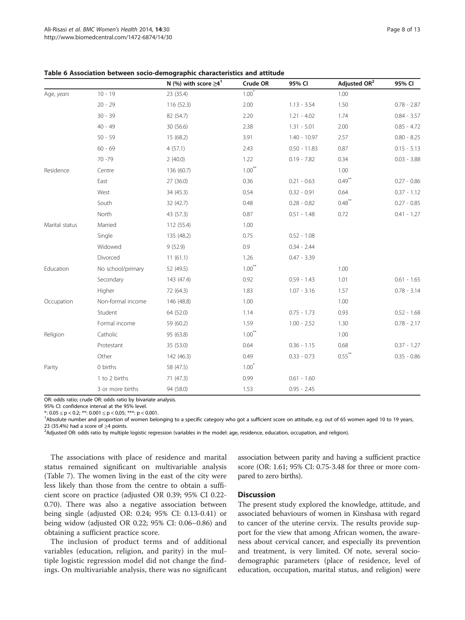|                |                   | N (%) with score $\geq 4^1$ | Crude OR  | 95% CI         | Adjusted OR <sup>2</sup> | 95% CI        |
|----------------|-------------------|-----------------------------|-----------|----------------|--------------------------|---------------|
| Age, years     | $10 - 19$         | 23 (35.4)                   | $1.00*$   |                | 1.00                     |               |
|                | $20 - 29$         | 116(52.3)                   | 2.00      | $1.13 - 3.54$  | 1.50                     | $0.78 - 2.87$ |
|                | $30 - 39$         | 82 (54.7)                   | 2.20      | $1.21 - 4.02$  | 1.74                     | $0.84 - 3.57$ |
|                | $40 - 49$         | 30 (56.6)                   | 2.38      | $1.31 - 5.01$  | 2.00                     | $0.85 - 4.72$ |
|                | $50 - 59$         | 15 (68.2)                   | 3.91      | $1.40 - 10.97$ | 2.57                     | $0.80 - 8.25$ |
|                | $60 - 69$         | 4(57.1)                     | 2.43      | $0.50 - 11.83$ | 0.87                     | $0.15 - 5.13$ |
|                | $70 - 79$         | 2(40.0)                     | 1.22      | $0.19 - 7.82$  | 0.34                     | $0.03 - 3.88$ |
| Residence      | Centre            | 136 (60.7)                  | $1.00***$ |                | 1.00                     |               |
|                | East              | 27 (36.0)                   | 0.36      | $0.21 - 0.63$  | $0.49$ <sup>**</sup>     | $0.27 - 0.86$ |
|                | West              | 34 (45.3)                   | 0.54      | $0.32 - 0.91$  | 0.64                     | $0.37 - 1.12$ |
|                | South             | 32 (42.7)                   | 0.48      | $0.28 - 0.82$  | $0.48***$                | $0.27 - 0.85$ |
|                | North             | 43 (57.3)                   | 0.87      | $0.51 - 1.48$  | 0.72                     | $0.41 - 1.27$ |
| Marital status | Married           | 112 (55.4)                  | 1.00      |                |                          |               |
|                | Single            | 135 (48.2)                  | 0.75      | $0.52 - 1.08$  |                          |               |
|                | Widowed           | 9(52.9)                     | 0.9       | $0.34 - 2.44$  |                          |               |
|                | Divorced          | 11(61.1)                    | 1.26      | $0.47 - 3.39$  |                          |               |
| Education      | No school/primary | 52 (49.5)                   | $1.00***$ |                | 1.00                     |               |
|                | Secondary         | 143 (47.4)                  | 0.92      | $0.59 - 1.43$  | 1.01                     | $0.61 - 1.65$ |
|                | Higher            | 72 (64.3)                   | 1.83      | $1.07 - 3.16$  | 1.57                     | $0.78 - 3.14$ |
| Occupation     | Non-formal income | 146 (48.8)                  | 1.00      |                | 1.00                     |               |
|                | Student           | 64 (52.0)                   | 1.14      | $0.75 - 1.73$  | 0.93                     | $0.52 - 1.68$ |
|                | Formal income     | 59 (60.2)                   | 1.59      | $1.00 - 2.52$  | 1.30                     | $0.78 - 2.17$ |
| Religion       | Catholic          | 95 (63.8)                   | $1.00***$ |                | 1.00                     |               |
|                | Protestant        | 35 (53.0)                   | 0.64      | $0.36 - 1.15$  | 0.68                     | $0.37 - 1.27$ |
|                | Other             | 142 (46.3)                  | 0.49      | $0.33 - 0.73$  | $0.55***$                | $0.35 - 0.86$ |
| Parity         | 0 births          | 58 (47.5)                   | $1.00*$   |                |                          |               |
|                | 1 to 2 births     | 71 (47.3)                   | 0.99      | $0.61 - 1.60$  |                          |               |
|                | 3 or more births  | 94 (58.0)                   | 1.53      | $0.95 - 2.45$  |                          |               |

<span id="page-7-0"></span>Table 6 Association between socio-demographic characteristics and attitude

OR: odds ratio; crude OR: odds ratio by bivariate analysis.

95% CI: confidence interval at the 95% level.

\*:  $0.05 \le p < 0.2$ ; \*\*:  $0.001 \le p < 0.05$ ; \*\*\*:  $p < 0.001$ .

<sup>1</sup>Absolute number and proportion of women belonging to a specific category who got a sufficient score on attitude, e.g. out of 65 women aged 10 to 19 years, 23 (35.4%) had a score of >4 points.

<sup>2</sup>Adjusted OR: odds ratio by multiple logistic regression (variables in the model: age, residence, education, occupation, and religion).

The associations with place of residence and marital status remained significant on multivariable analysis (Table [7](#page-8-0)). The women living in the east of the city were less likely than those from the centre to obtain a sufficient score on practice (adjusted OR 0.39; 95% CI 0.22- 0.70). There was also a negative association between being single (adjusted OR: 0.24; 95% CI: 0.13-0.41) or being widow (adjusted OR 0.22; 95% CI: 0.06–0.86) and obtaining a sufficient practice score.

The inclusion of product terms and of additional variables (education, religion, and parity) in the multiple logistic regression model did not change the findings. On multivariable analysis, there was no significant association between parity and having a sufficient practice score (OR: 1.61; 95% CI: 0.75-3.48 for three or more compared to zero births).

#### **Discussion**

The present study explored the knowledge, attitude, and associated behaviours of women in Kinshasa with regard to cancer of the uterine cervix. The results provide support for the view that among African women, the awareness about cervical cancer, and especially its prevention and treatment, is very limited. Of note, several sociodemographic parameters (place of residence, level of education, occupation, marital status, and religion) were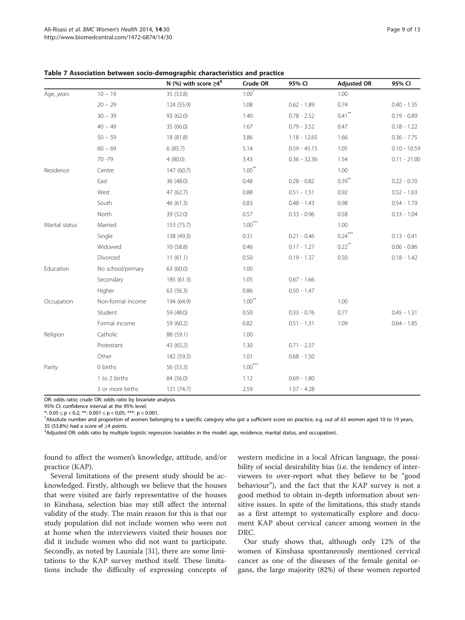|                |                   | N (%) with score $\geq 4^s$ | Crude OR  | 95% CI         | <b>Adjusted OR</b>   | 95% CI         |
|----------------|-------------------|-----------------------------|-----------|----------------|----------------------|----------------|
| Age, years     | $10 - 19$         | 35 (53.8)                   | $1.00*$   |                | 1.00                 |                |
|                | $20 - 29$         | 124 (55.9)                  | 1.08      | $0.62 - 1.89$  | 0.74                 | $0.40 - 1.35$  |
|                | $30 - 39$         | 93 (62.0)                   | 1.40      | $0.78 - 2.52$  | $0.41$ <sup>**</sup> | $0.19 - 0.89$  |
|                | $40 - 49$         | 35 (66.0)                   | 1.67      | $0.79 - 3.52$  | 0.47                 | $0.18 - 1.22$  |
|                | $50 - 59$         | 18 (81.8)                   | 3.86      | $1.18 - 12.65$ | 1.66                 | $0.36 - 7.75$  |
|                | $60 - 69$         | 6(85.7)                     | 5.14      | $0.59 - 45.15$ | 1.05                 | $0.10 - 10.59$ |
|                | 70 - 79           | 4(80.0)                     | 3.43      | $0.36 - 32.36$ | 1.54                 | $0.11 - 21.00$ |
| Residence      | Centre            | 147 (60.7)                  | $1.00***$ |                | 1.00                 |                |
|                | East              | 36 (48.0)                   | 0.48      | $0.28 - 0.82$  | $0.39***$            | $0.22 - 0.70$  |
|                | West              | 47 (62.7)                   | 0.88      | $0.51 - 1.51$  | 0.92                 | $0.52 - 1.63$  |
|                | South             | 46 (61.3)                   | 0.83      | $0.48 - 1.43$  | 0.98                 | $0.54 - 1.79$  |
|                | North             | 39 (52.0)                   | 0.57      | $0.33 - 0.96$  | 0.58                 | $0.33 - 1.04$  |
| Marital status | Married           | 153 (75.7)                  | $1.00***$ |                | 1.00                 |                |
|                | Single            | 138 (49.3)                  | 0.31      | $0.21 - 0.46$  | $0.24***$            | $0.13 - 0.41$  |
|                | Widowed           | 10 (58.8)                   | 0.46      | $0.17 - 1.27$  | $0.22$ <sup>**</sup> | $0.06 - 0.86$  |
|                | Divorced          | 11(61.1)                    | 0.50      | $0.19 - 1.37$  | 0.50                 | $0.18 - 1.42$  |
| Education      | No school/primary | 63 (60.0)                   | 1.00      |                |                      |                |
|                | Secondary         | 185 (61.3)                  | 1.05      | $0.67 - 1.66$  |                      |                |
|                | Higher            | 63 (56.3)                   | 0.86      | $0.50 - 1.47$  |                      |                |
| Occupation     | Non-formal income | 194 (64.9)                  | $1.00***$ |                | 1.00                 |                |
|                | Student           | 59 (48.0)                   | 0.50      | $0.33 - 0.76$  | 0.77                 | $0.45 - 1.31$  |
|                | Formal income     | 59 (60.2)                   | 0.82      | $0.51 - 1.31$  | 1.09                 | $0.64 - 1.85$  |
| Religion       | Catholic          | 88 (59.1)                   | 1.00      |                |                      |                |
|                | Protestant        | 43 (65.2)                   | 1.30      | $0.71 - 2.37$  |                      |                |
|                | Other             | 182 (59.3)                  | 1.01      | $0.68 - 1.50$  |                      |                |
| Parity         | 0 births          | 56 (53.3)                   | $1.00***$ |                |                      |                |
|                | 1 to 2 births     | 84 (56.0)                   | 1.12      | $0.69 - 1.80$  |                      |                |
|                | 3 or more births  | 121 (74.7)                  | 2.59      | $1.57 - 4.28$  |                      |                |

<span id="page-8-0"></span>Table 7 Association between socio-demographic characteristics and practice

OR: odds ratio; crude OR: odds ratio by bivariate analysis.

95% CI: confidence interval at the 95% level.

\*:  $0.05 \le p < 0.2$ ; \*\*:  $0.001 \le p < 0.05$ ; \*\*\*:  $p < 0.001$ .

<sup>1</sup>Absolute number and proportion of women belonging to a specific category who got a sufficient score on practice, e.g. out of 65 women aged 10 to 19 years, 35 (53.8%) had a score of <sup>≥</sup>4 points. <sup>2</sup>

<sup>2</sup> Adjusted OR: odds ratio by multiple logistic regression (variables in the model: age, residence, marital status, and occupation).

found to affect the women's knowledge, attitude, and/or practice (KAP).

Several limitations of the present study should be acknowledged. Firstly, although we believe that the houses that were visited are fairly representative of the houses in Kinshasa, selection bias may still affect the internal validity of the study. The main reason for this is that our study population did not include women who were not at home when the interviewers visited their houses nor did it include women who did not want to participate. Secondly, as noted by Launiala [\[31](#page-11-0)], there are some limitations to the KAP survey method itself. These limitations include the difficulty of expressing concepts of western medicine in a local African language, the possibility of social desirability bias (i.e. the tendency of interviewees to over-report what they believe to be "good behaviour"), and the fact that the KAP survey is not a good method to obtain in-depth information about sensitive issues. In spite of the limitations, this study stands as a first attempt to systematically explore and document KAP about cervical cancer among women in the DRC.

Our study shows that, although only 12% of the women of Kinshasa spontaneously mentioned cervical cancer as one of the diseases of the female genital organs, the large majority (82%) of these women reported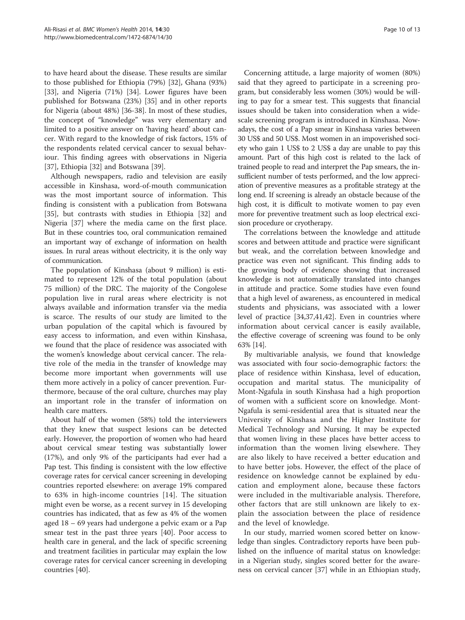to have heard about the disease. These results are similar to those published for Ethiopia (79%) [[32\]](#page-11-0), Ghana (93%) [[33\]](#page-11-0), and Nigeria (71%) [\[34](#page-11-0)]. Lower figures have been published for Botswana (23%) [\[35](#page-11-0)] and in other reports for Nigeria (about 48%) [[36-38](#page-11-0)]. In most of these studies, the concept of "knowledge" was very elementary and limited to a positive answer on 'having heard' about cancer. With regard to the knowledge of risk factors, 15% of the respondents related cervical cancer to sexual behaviour. This finding agrees with observations in Nigeria [[37\]](#page-11-0), Ethiopia [[32\]](#page-11-0) and Botswana [[39\]](#page-11-0).

Although newspapers, radio and television are easily accessible in Kinshasa, word-of-mouth communication was the most important source of information. This finding is consistent with a publication from Botswana [[35\]](#page-11-0), but contrasts with studies in Ethiopia [[32\]](#page-11-0) and Nigeria [\[37](#page-11-0)] where the media came on the first place. But in these countries too, oral communication remained an important way of exchange of information on health issues. In rural areas without electricity, it is the only way of communication.

The population of Kinshasa (about 9 million) is estimated to represent 12% of the total population (about 75 million) of the DRC. The majority of the Congolese population live in rural areas where electricity is not always available and information transfer via the media is scarce. The results of our study are limited to the urban population of the capital which is favoured by easy access to information, and even within Kinshasa, we found that the place of residence was associated with the women's knowledge about cervical cancer. The relative role of the media in the transfer of knowledge may become more important when governments will use them more actively in a policy of cancer prevention. Furthermore, because of the oral culture, churches may play an important role in the transfer of information on health care matters.

About half of the women (58%) told the interviewers that they knew that suspect lesions can be detected early. However, the proportion of women who had heard about cervical smear testing was substantially lower (17%), and only 9% of the participants had ever had a Pap test. This finding is consistent with the low effective coverage rates for cervical cancer screening in developing countries reported elsewhere: on average 19% compared to 63% in high-income countries [[14\]](#page-11-0). The situation might even be worse, as a recent survey in 15 developing countries has indicated, that as few as 4% of the women aged 18 – 69 years had undergone a pelvic exam or a Pap smear test in the past three years [\[40\]](#page-11-0). Poor access to health care in general, and the lack of specific screening and treatment facilities in particular may explain the low coverage rates for cervical cancer screening in developing countries [\[40](#page-11-0)].

Concerning attitude, a large majority of women (80%) said that they agreed to participate in a screening program, but considerably less women (30%) would be willing to pay for a smear test. This suggests that financial issues should be taken into consideration when a widescale screening program is introduced in Kinshasa. Nowadays, the cost of a Pap smear in Kinshasa varies between 30 US\$ and 50 US\$. Most women in an impoverished society who gain 1 US\$ to 2 US\$ a day are unable to pay this amount. Part of this high cost is related to the lack of trained people to read and interpret the Pap smears, the insufficient number of tests performed, and the low appreciation of preventive measures as a profitable strategy at the long end. If screening is already an obstacle because of the high cost, it is difficult to motivate women to pay even more for preventive treatment such as loop electrical excision procedure or cryotherapy.

The correlations between the knowledge and attitude scores and between attitude and practice were significant but weak, and the correlation between knowledge and practice was even not significant. This finding adds to the growing body of evidence showing that increased knowledge is not automatically translated into changes in attitude and practice. Some studies have even found that a high level of awareness, as encountered in medical students and physicians, was associated with a lower level of practice [[34,37,41,42\]](#page-11-0). Even in countries where information about cervical cancer is easily available, the effective coverage of screening was found to be only 63% [[14](#page-11-0)].

By multivariable analysis, we found that knowledge was associated with four socio-demographic factors: the place of residence within Kinshasa, level of education, occupation and marital status. The municipality of Mont-Ngafula in south Kinshasa had a high proportion of women with a sufficient score on knowledge. Mont-Ngafula is semi-residential area that is situated near the University of Kinshasa and the Higher Institute for Medical Technology and Nursing. It may be expected that women living in these places have better access to information than the women living elsewhere. They are also likely to have received a better education and to have better jobs. However, the effect of the place of residence on knowledge cannot be explained by education and employment alone, because these factors were included in the multivariable analysis. Therefore, other factors that are still unknown are likely to explain the association between the place of residence and the level of knowledge.

In our study, married women scored better on knowledge than singles. Contradictory reports have been published on the influence of marital status on knowledge: in a Nigerian study, singles scored better for the awareness on cervical cancer [[37](#page-11-0)] while in an Ethiopian study,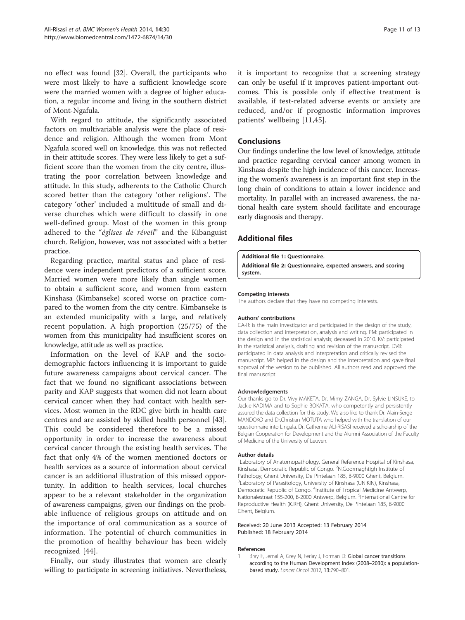<span id="page-10-0"></span>no effect was found [\[32](#page-11-0)]. Overall, the participants who were most likely to have a sufficient knowledge score were the married women with a degree of higher education, a regular income and living in the southern district of Mont-Ngafula.

With regard to attitude, the significantly associated factors on multivariable analysis were the place of residence and religion. Although the women from Mont Ngafula scored well on knowledge, this was not reflected in their attitude scores. They were less likely to get a sufficient score than the women from the city centre, illustrating the poor correlation between knowledge and attitude. In this study, adherents to the Catholic Church scored better than the category 'other religions'. The category 'other' included a multitude of small and diverse churches which were difficult to classify in one well-defined group. Most of the women in this group adhered to the "églises de réveil" and the Kibanguist church. Religion, however, was not associated with a better practice.

Regarding practice, marital status and place of residence were independent predictors of a sufficient score. Married women were more likely than single women to obtain a sufficient score, and women from eastern Kinshasa (Kimbanseke) scored worse on practice compared to the women from the city centre. Kimbanseke is an extended municipality with a large, and relatively recent population. A high proportion (25/75) of the women from this municipality had insufficient scores on knowledge, attitude as well as practice.

Information on the level of KAP and the sociodemographic factors influencing it is important to guide future awareness campaigns about cervical cancer. The fact that we found no significant associations between parity and KAP suggests that women did not learn about cervical cancer when they had contact with health services. Most women in the RDC give birth in health care centres and are assisted by skilled health personnel [\[43](#page-11-0)]. This could be considered therefore to be a missed opportunity in order to increase the awareness about cervical cancer through the existing health services. The fact that only 4% of the women mentioned doctors or health services as a source of information about cervical cancer is an additional illustration of this missed opportunity. In addition to health services, local churches appear to be a relevant stakeholder in the organization of awareness campaigns, given our findings on the probable influence of religious groups on attitude and on the importance of oral communication as a source of information. The potential of church communities in the promotion of healthy behaviour has been widely recognized [[44\]](#page-12-0).

Finally, our study illustrates that women are clearly willing to participate in screening initiatives. Nevertheless, it is important to recognize that a screening strategy can only be useful if it improves patient-important outcomes. This is possible only if effective treatment is available, if test-related adverse events or anxiety are reduced, and/or if prognostic information improves patients' wellbeing [\[11](#page-11-0),[45\]](#page-12-0).

# Conclusions

Our findings underline the low level of knowledge, attitude and practice regarding cervical cancer among women in Kinshasa despite the high incidence of this cancer. Increasing the women's awareness is an important first step in the long chain of conditions to attain a lower incidence and mortality. In parallel with an increased awareness, the national health care system should facilitate and encourage early diagnosis and therapy.

# Additional files

[Additional file 1:](http://www.biomedcentral.com/content/supplementary/1472-6874-14-30-S1.docx) Questionnaire.

[Additional file 2:](http://www.biomedcentral.com/content/supplementary/1472-6874-14-30-S2.docx) Questionnaire, expected answers, and scoring system.

#### Competing interests

The authors declare that they have no competing interests.

#### Authors' contributions

CA-R: is the main investigator and participated in the design of the study, data collection and interpretation, analysis and writing. PM: participated in the design and in the statistical analysis; deceased in 2010. KV: participated in the statistical analysis, drafting and revision of the manuscript. DVB: participated in data analysis and interpretation and critically revised the manuscript. MP: helped in the design and the interpretation and gave final approval of the version to be published. All authors read and approved the final manuscript.

#### Acknowledgements

Our thanks go to Dr. Vivy MAKETA, Dr. Mimy ZANGA, Dr. Sylvie LINSUKE, to Jackie KADIMA and to Sophie BOKATA, who competently and persistently assured the data collection for this study. We also like to thank Dr. Alain-Serge MANDOKO and Dr.Christian MOTUTA who helped with the translation of our questionnaire into Lingala. Dr. Catherine ALI-RISASI received a scholarship of the Belgian Cooperation for Development and the Alumni Association of the Faculty of Medicine of the University of Leuven.

#### Author details

<sup>1</sup> Laboratory of Anatomopathology, General Reference Hospital of Kinshasa Kinshasa, Democratic Republic of Congo. <sup>2</sup>N.Goormaghtigh Institute of Pathology, Ghent University, De Pintelaan 185, B-9000 Ghent, Belgium. <sup>3</sup> Laboratory of Parasitology, University of Kinshasa (UNIKIN), Kinshasa, Democratic Republic of Congo. <sup>4</sup>Institute of Tropical Medicine Antwerp, Nationalestraat 155-200, B-2000 Antwerp, Belgium. <sup>5</sup>International Centre for Reproductive Health (ICRH), Ghent University, De Pintelaan 185, B-9000 Ghent, Belgium.

#### Received: 20 June 2013 Accepted: 13 February 2014 Published: 18 February 2014

#### References

1. Bray F, Jemal A, Grey N, Ferlay J, Forman D: Global cancer transitions according to the Human Development Index (2008–2030): a populationbased study. Lancet Oncol 2012, 13:790–801.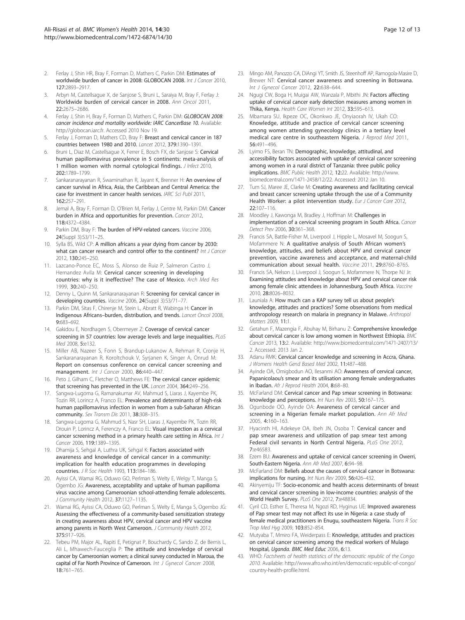- <span id="page-11-0"></span>2. Ferlay J, Shin HR, Bray F, Forman D, Mathers C, Parkin DM: Estimates of worldwide burden of cancer in 2008: GLOBOCAN 2008. Int J Cancer 2010, 127:2893–2917.
- 3. Arbyn M, Castellsague X, de Sanjose S, Bruni L, Saraiya M, Bray F, Ferlay J: Worldwide burden of cervical cancer in 2008. Ann Oncol 2011, 22:2675–2686.
- 4. Ferlay J, Shin H, Bray F, Forman D, Mathers C, Parkin DM: GLOBOCAN 2008: cancer incidence and mortality worldwide: IARC CancerBase 10. Available: http://globocan.iarc.fr. Accessed 2010 Nov 19.
- Ferlay J, Forman D, Mathers CD, Bray F: Breast and cervical cancer in 187 countries between 1980 and 2010. Lancet 2012, 379:1390–1391.
- Bruni L, Diaz M, Castellsague X, Ferrer E, Bosch FX, de Sanjose S: Cervical human papillomavirus prevalence in 5 continents: meta-analysis of 1 million women with normal cytological findings. J Infect 2010, 202:1789–1799.
- 7. Sankaranarayanan R, Swaminathan R, Jayant K, Brenner H: An overview of cancer survival in Africa, Asia, the Caribbean and Central America: the case for investment in cancer health services. IARC Sci Publ 2011,  $162.257 - 291$
- Jemal A, Bray F, Forman D, O'Brien M, Ferlay J, Centre M, Parkin DM: Cancer burden in Africa and opportunities for prevention. Cancer 2012, 118:4372–4384.
- 9. Parkin DM, Bray F: The burden of HPV-related cancers. Vaccine 2006, 24(Suppl 3):S3/11–25.
- 10. Sylla BS, Wild CP: A million africans a year dying from cancer by 2030: what can cancer research and control offer to the continent? Int J Cancer 2012, 130:245–250.
- 11. Lazcano-Ponce EC, Moss S, Alonso de Ruiz P, Salmeron Castro J, Hernandez Avila M: Cervical cancer screening in developing countries: why is it ineffective? The case of Mexico. Arch Med Res 1999, 30:240–250.
- 12. Denny L, Quinn M, Sankaranarayanan R: Screening for cervical cancer in developing countries. Vaccine 2006, 24(Suppl 3):S3/71–77.
- 13. Parkin DM, Sitas F, Chirenje M, Stein L, Abratt R, Wabinga H: Cancer in Indigenous Africans–burden, distribution, and trends. Lancet Oncol 2008, 9:683–692.
- 14. Gakidou E, Nordhagen S, Obermeyer Z: Coverage of cervical cancer screening in 57 countries: low average levels and large inequalities. PLoS Med 2008, 5:e132.
- 15. Miller AB, Nazeer S, Fonn S, Brandup-Lukanow A, Rehman R, Cronje H, Sankaranarayanan R, Koroltchouk V, Syrjanen K, Singer A, Onrud M: Report on consensus conference on cervical cancer screening and management. Int J Cancer 2000, 86:440-447.
- 16. Peto J, Gilham C, Fletcher O, Matthews FE: The cervical cancer epidemic that screening has prevented in the UK. Lancet 2004, 364:249–256.
- 17. Sangwa-Lugoma G, Ramanakumar AV, Mahmud S, Liaras J, Kayembe PK, Tozin RR, Lorincz A, Franco EL: Prevalence and determinants of high-risk human papillomavirus infection in women from a sub-Saharan African community. Sex Transm Dis 2011, 38:308-315.
- 18. Sangwa-Lugoma G, Mahmud S, Nasr SH, Liaras J, Kayembe PK, Tozin RR, Drouin P, Lorincz A, Ferenczy A, Franco EL: Visual inspection as a cervical cancer screening method in a primary health care setting in Africa. Int J Cancer 2006, 119:1389–1395.
- 19. Dhamija S, Sehgal A, Luthra UK, Sehgal K: Factors associated with awareness and knowledge of cervical cancer in a community: implication for health education programmes in developing countries. *J R Soc Health* 1993, 113:184-186.
- 20. Ayissi CA, Wamai RG, Oduwo GO, Perlman S, Welty E, Welgy T, Manga S, Ogembo JG: Awareness, acceptability and uptake of human papilloma virus vaccine among Cameroonian school-attending female adolescents. J Community Health 2012, 37:1127–1135.
- 21. Wamai RG, Ayissi CA, Oduwo GO, Perlman S, Welty E, Manga S, Ogembo JG: Assessing the effectiveness of a community-based sensitization strategy in creating awareness about HPV, cervical cancer and HPV vaccine among parents in North West Cameroon. J Community Health 2012, 375:917–926.
- 22. Tebeu PM, Major AL, Rapiti E, Petignat P, Bouchardy C, Sando Z, de Bernis L, Ali L, Mhawech-Fauceglia P: The attitude and knowledge of cervical cancer by Cameroonian women; a clinical survey conducted in Maroua, the capital of Far North Province of Cameroon. Int J Gynecol Cancer 2008, 18:761–765.
- 23. Mingo AM, Panozzo CA, DiAngi YT, Smith JS, Steenhoff AP, Ramogola-Masire D, Brewer NT: Cervical cancer awareness and screening in Botswana. Int J Gynecol Cancer 2012, 22:638–644.
- 24. Ngugi CW, Boga H, Muigai AW, Wanzala P, Mbithi JN: Factors affecting uptake of cervical cancer early detection measures among women in Thika, Kenya. Health Care Women Int 2012, 33:595–613.
- 25. Mbamara SU, Ikpeze OC, Okonkwo JE, Onyiaorah IV, Ukah CO: Knowledge, attitude and practice of cervical cancer screening among women attending gynecology clinics in a tertiary level medical care centre in southeastern Nigeria. J Reprod Med 2011, 56:491–496.
- 26. Lyimo FS, Beran TN: Demographic, knowledge, attitudinal, and accessibility factors associated with uptake of cervical cancer screening among women in a rural district of Tanzania: three public policy implications. BMC Public Health 2012, 12:22. Available: [http://www.](http://www.biomedcentral.com/1471-2458/12/22) [biomedcentral.com/1471-2458/12/22](http://www.biomedcentral.com/1471-2458/12/22). Accessed: 2012 Jan 10.
- 27. Tum SJ, Maree JE, Clarke M: Creating awareness and facilitating cervical and breast cancer screening uptake through the use of a Community Health Worker: a pilot intervention study. Eur J Cancer Care 2012, 22:107–116.
- 28. Moodley J, Kawonga M, Bradley J, Hoffman M: Challenges in implementation of a cervical screening program in South Africa. Cancer Detect Prev 2006, 30:361–368.
- 29. Francis SA, Battle-Fisher M, Liverpool J, Hipple L, Mosavel M, Soogun S, Mofammere N: A qualitative analysis of South African women's knowledge, attitudes, and beliefs about HPV and cervical cancer prevention, vaccine awareness and acceptance, and maternal-child communication about sexual health. Vaccine 2011, 29:8760–8765.
- 30. Francis SA, Nelson J, Liverpool J, Soogun S, Mofammere N, Thorpe NJ Jr: Examining attitudes and knowledge about HPV and cervical cancer risk among female clinic attendees in Johannesburg, South Africa. Vaccine 2010, 28:8026–8032.
- 31. Launiala A: How much can a KAP survey tell us about people's knowledge, attitudes and practices? Some observations from medical anthropology research on malaria in pregnancy in Malawe. Anthropol Matters 2009, 11:1.
- 32. Getahun F, Mazengia F, Abuhay M, Birhanu Z: Comprehensive knowledge about cervical cancer is low among women in Northwest Ethiopia. BMC Cancer 2013, 13:2. Available: [http://www.biomedcentral.com/1471-2407/13/](http://www.biomedcentral.com/1471-2407/13/2) [2](http://www.biomedcentral.com/1471-2407/13/2). Accessed: 2013 Jan 2.
- 33. Adanu RMK: Cervical cancer knowledge and screening in Accra, Ghana. J Womens Health Gend Based Med 2002, 11:487–488.
- 34. Ayinde OA, Omigbodun AO, Ilesanmi AO: Awareness of cervical cancer, Papanicolaou's smear and its utilisation among female undergraduates in Ibadan. Afr J Reprod Health 2004, 8:68-80.
- McFarland DM: Cervical cancer and Pap smear screening in Botswana: knowledge and perceptions. Int Nurs Rev 2003, 50:167–175.
- 36. Ogunbode OO, Ayinde OA: Awareness of cervical cancer and screening in a Nigerian female market population. Ann Afr Med 2005, 4:160–163.
- 37. Hyacinth HI, Adekeye OA, Ibeh JN, Osoba T: Cervical cancer and pap smear awareness and utilization of pap smear test among Federal civil servants in North Central Nigeria. PLoS One 2012, 7:e46583.
- 38. Ezem BU: Awareness and uptake of cervical cancer screening in Owerri, South-Eastern Nigeria. Ann Afr Med 2007, 6:94–98.
- McFarland DM: Beliefs about the causes of cervical cancer in Botswana: implications for nursing. Int Nurs Rev 2009, 56:426–432.
- 40. Akinyemiju TF: Socio-economic and health access determinants of breast and cervical cancer screening in low-income countries: analysis of the World Health Survey. PLoS One 2012, 7:e48834.
- 41. Cyril CD, Esther E, Theresa M, Ngozi RD, Hyginus UE: Improved awareness of Pap smear test may not affect its use in Nigeria: a case study of female medical practitioners in Enugu, southeastern Nigeria. Trans R Soc Trop Med Hyg 2009, 103:852-854.
- 42. Mutyaba T, Mmiro FA, Weiderpass E: Knowledge, attitudes and practices on cervical cancer screening among the medical workers of Mulago Hospital, Uganda. BMC Med Educ 2006, 6:13.
- 43. WHO: Factsheets of health statistics of the democratic republic of the Congo 2010. Available: [http://www.afro.who.int/en/democratic-republic-of-congo/](http://www.afro.who.int/en/democratic-republic-of-congo/country-health-profile.html) [country-health-profile.html.](http://www.afro.who.int/en/democratic-republic-of-congo/country-health-profile.html)